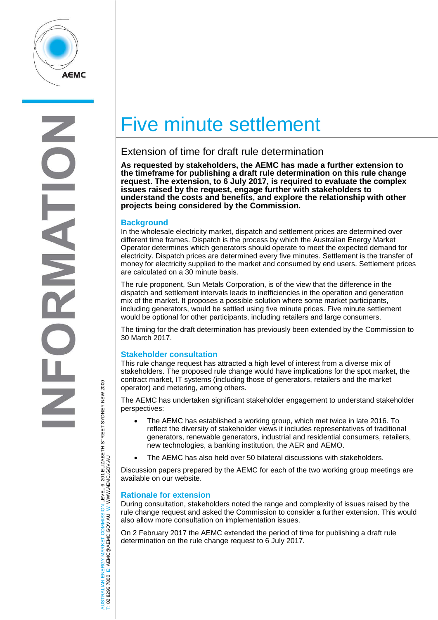

S  $\overline{ }$ 

# TRALIAN ENERGY MARKET COMMISSION LEVEL 6, 201 ELIZABETH STREET SYDNEY NSW 2000<br>8296 7800 E: AEMC@AEMC.GOV.AU W: WWW.AEMC.GOV.AU AUSTRALIAN ENERGY MARKET COMMISSION LEVEL 6, 201 ELIZABETH STREET SYDNEY NSW 2000 W: WWW.AEMC.GOV.AU T: 02 8296 7800 E: AEMC@AEMC.GOV.AU **ISL**  $\overline{8}$

## Five minute settlement

### Extension of time for draft rule determination

**As requested by stakeholders, the AEMC has made a further extension to the timeframe for publishing a draft rule determination on this rule change request. The extension, to 6 July 2017, is required to evaluate the complex issues raised by the request, engage further with stakeholders to understand the costs and benefits, and explore the relationship with other projects being considered by the Commission.**

#### **Background**

In the wholesale electricity market, dispatch and settlement prices are determined over different time frames. Dispatch is the process by which the Australian Energy Market Operator determines which generators should operate to meet the expected demand for electricity. Dispatch prices are determined every five minutes. Settlement is the transfer of money for electricity supplied to the market and consumed by end users. Settlement prices are calculated on a 30 minute basis.

The rule proponent, Sun Metals Corporation, is of the view that the difference in the dispatch and settlement intervals leads to inefficiencies in the operation and generation mix of the market. It proposes a possible solution where some market participants, including generators, would be settled using five minute prices. Five minute settlement would be optional for other participants, including retailers and large consumers.

The timing for the draft determination has previously been extended by the Commission to 30 March 2017.

#### **Stakeholder consultation**

This rule change request has attracted a high level of interest from a diverse mix of stakeholders. The proposed rule change would have implications for the spot market, the contract market, IT systems (including those of generators, retailers and the market operator) and metering, among others.

The AEMC has undertaken significant stakeholder engagement to understand stakeholder perspectives:

- The AEMC has established a working group, which met twice in late 2016. To reflect the diversity of stakeholder views it includes representatives of traditional generators, renewable generators, industrial and residential consumers, retailers, new technologies, a banking institution, the AER and AEMO.
- The AEMC has also held over 50 bilateral discussions with stakeholders.

Discussion papers prepared by the AEMC for each of the two working group meetings are available on our website.

#### **Rationale for extension**

During consultation, stakeholders noted the range and complexity of issues raised by the rule change request and asked the Commission to consider a further extension. This would also allow more consultation on implementation issues.

On 2 February 2017 the AEMC extended the period of time for publishing a draft rule determination on the rule change request to 6 July 2017.